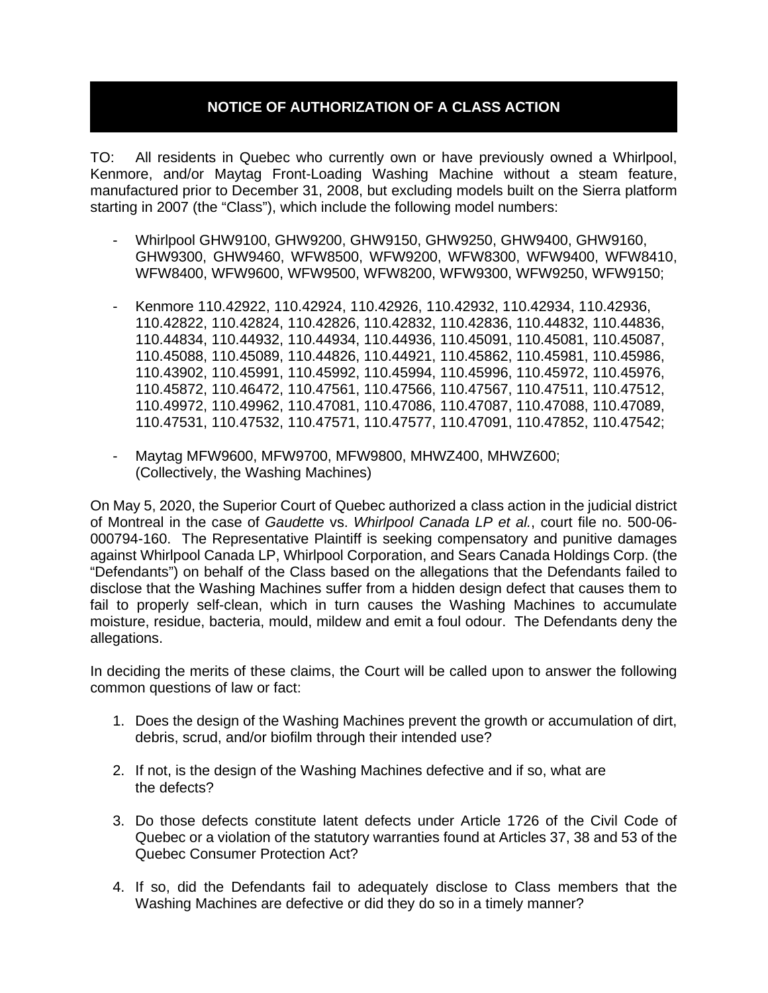## **NOTICE OF AUTHORIZATION OF A CLASS ACTION**

TO: All residents in Quebec who currently own or have previously owned a Whirlpool, Kenmore, and/or Maytag Front-Loading Washing Machine without a steam feature, manufactured prior to December 31, 2008, but excluding models built on the Sierra platform starting in 2007 (the "Class"), which include the following model numbers:

- Whirlpool GHW9100, GHW9200, GHW9150, GHW9250, GHW9400, GHW9160, GHW9300, GHW9460, WFW8500, WFW9200, WFW8300, WFW9400, WFW8410, WFW8400, WFW9600, WFW9500, WFW8200, WFW9300, WFW9250, WFW9150;
- Kenmore 110.42922, 110.42924, 110.42926, 110.42932, 110.42934, 110.42936, 110.42822, 110.42824, 110.42826, 110.42832, 110.42836, 110.44832, 110.44836, 110.44834, 110.44932, 110.44934, 110.44936, 110.45091, 110.45081, 110.45087, 110.45088, 110.45089, 110.44826, 110.44921, 110.45862, 110.45981, 110.45986, 110.43902, 110.45991, 110.45992, 110.45994, 110.45996, 110.45972, 110.45976, 110.45872, 110.46472, 110.47561, 110.47566, 110.47567, 110.47511, 110.47512, 110.49972, 110.49962, 110.47081, 110.47086, 110.47087, 110.47088, 110.47089, 110.47531, 110.47532, 110.47571, 110.47577, 110.47091, 110.47852, 110.47542;
- Maytag MFW9600, MFW9700, MFW9800, MHWZ400, MHWZ600; (Collectively, the Washing Machines)

On May 5, 2020, the Superior Court of Quebec authorized a class action in the judicial district of Montreal in the case of *Gaudette* vs. *Whirlpool Canada LP et al.*, court file no. 500-06- 000794-160. The Representative Plaintiff is seeking compensatory and punitive damages against Whirlpool Canada LP, Whirlpool Corporation, and Sears Canada Holdings Corp. (the "Defendants") on behalf of the Class based on the allegations that the Defendants failed to disclose that the Washing Machines suffer from a hidden design defect that causes them to fail to properly self-clean, which in turn causes the Washing Machines to accumulate moisture, residue, bacteria, mould, mildew and emit a foul odour. The Defendants deny the allegations.

In deciding the merits of these claims, the Court will be called upon to answer the following common questions of law or fact:

- 1. Does the design of the Washing Machines prevent the growth or accumulation of dirt, debris, scrud, and/or biofilm through their intended use?
- 2. If not, is the design of the Washing Machines defective and if so, what are the defects?
- 3. Do those defects constitute latent defects under Article 1726 of the Civil Code of Quebec or a violation of the statutory warranties found at Articles 37, 38 and 53 of the Quebec Consumer Protection Act?
- 4. If so, did the Defendants fail to adequately disclose to Class members that the Washing Machines are defective or did they do so in a timely manner?